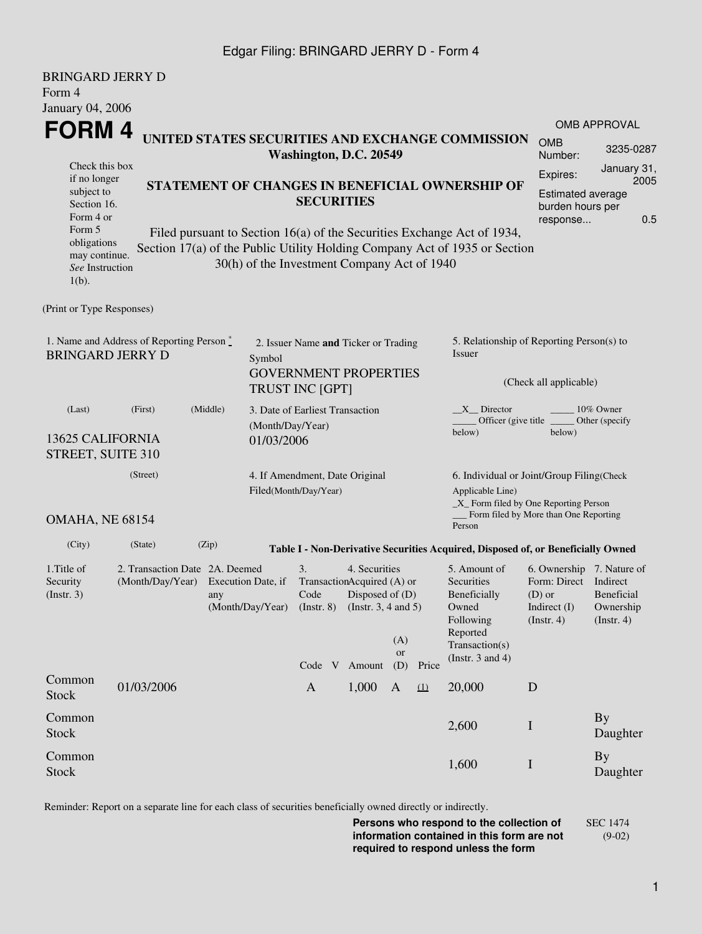## Edgar Filing: BRINGARD JERRY D - Form 4

| <b>BRINGARD JERRY D</b><br>Form 4                                          |                                                                                                                |          |                                                     |                                                                                                                                     |        |                                                                                                                                                  |       |                                                                                                                                                       |                                                                                                    |                                               |  |  |
|----------------------------------------------------------------------------|----------------------------------------------------------------------------------------------------------------|----------|-----------------------------------------------------|-------------------------------------------------------------------------------------------------------------------------------------|--------|--------------------------------------------------------------------------------------------------------------------------------------------------|-------|-------------------------------------------------------------------------------------------------------------------------------------------------------|----------------------------------------------------------------------------------------------------|-----------------------------------------------|--|--|
| <b>January 04, 2006</b>                                                    |                                                                                                                |          |                                                     |                                                                                                                                     |        |                                                                                                                                                  |       |                                                                                                                                                       |                                                                                                    |                                               |  |  |
| FORM 4                                                                     |                                                                                                                |          |                                                     |                                                                                                                                     |        |                                                                                                                                                  |       |                                                                                                                                                       |                                                                                                    | <b>OMB APPROVAL</b>                           |  |  |
| UNITED STATES SECURITIES AND EXCHANGE COMMISSION<br>Washington, D.C. 20549 |                                                                                                                |          |                                                     |                                                                                                                                     |        |                                                                                                                                                  |       |                                                                                                                                                       | <b>OMB</b><br>Number:                                                                              | 3235-0287                                     |  |  |
|                                                                            | Check this box<br>if no longer                                                                                 |          |                                                     |                                                                                                                                     |        |                                                                                                                                                  |       |                                                                                                                                                       | Expires:                                                                                           | January 31,<br>2005                           |  |  |
|                                                                            | STATEMENT OF CHANGES IN BENEFICIAL OWNERSHIP OF<br>subject to<br><b>SECURITIES</b><br>Section 16.<br>Form 4 or |          |                                                     |                                                                                                                                     |        |                                                                                                                                                  |       | Estimated average<br>burden hours per<br>0.5<br>response                                                                                              |                                                                                                    |                                               |  |  |
| Form 5<br>obligations<br>may continue.<br>See Instruction<br>$1(b)$ .      |                                                                                                                |          | 30(h) of the Investment Company Act of 1940         |                                                                                                                                     |        |                                                                                                                                                  |       | Filed pursuant to Section 16(a) of the Securities Exchange Act of 1934,<br>Section 17(a) of the Public Utility Holding Company Act of 1935 or Section |                                                                                                    |                                               |  |  |
| (Print or Type Responses)                                                  |                                                                                                                |          |                                                     |                                                                                                                                     |        |                                                                                                                                                  |       |                                                                                                                                                       |                                                                                                    |                                               |  |  |
| 1. Name and Address of Reporting Person*<br><b>BRINGARD JERRY D</b>        | 2. Issuer Name and Ticker or Trading<br>Symbol<br><b>GOVERNMENT PROPERTIES</b>                                 |          |                                                     |                                                                                                                                     |        | 5. Relationship of Reporting Person(s) to<br>Issuer                                                                                              |       |                                                                                                                                                       |                                                                                                    |                                               |  |  |
|                                                                            |                                                                                                                |          |                                                     | <b>TRUST INC [GPT]</b>                                                                                                              |        |                                                                                                                                                  |       | (Check all applicable)                                                                                                                                |                                                                                                    |                                               |  |  |
| (Last)                                                                     | (First)                                                                                                        | (Middle) | 3. Date of Earliest Transaction<br>(Month/Day/Year) |                                                                                                                                     |        |                                                                                                                                                  |       | X Director<br>Officer (give title)<br>below)                                                                                                          | 10% Owner<br>Other (specify)<br>below)                                                             |                                               |  |  |
| 13625 CALIFORNIA<br>STREET, SUITE 310                                      |                                                                                                                |          | 01/03/2006                                          |                                                                                                                                     |        |                                                                                                                                                  |       |                                                                                                                                                       |                                                                                                    |                                               |  |  |
|                                                                            | 4. If Amendment, Date Original<br>Filed(Month/Day/Year)                                                        |          |                                                     |                                                                                                                                     |        | 6. Individual or Joint/Group Filing(Check<br>Applicable Line)<br>_X_ Form filed by One Reporting Person<br>Form filed by More than One Reporting |       |                                                                                                                                                       |                                                                                                    |                                               |  |  |
| <b>OMAHA, NE 68154</b>                                                     |                                                                                                                |          |                                                     |                                                                                                                                     |        |                                                                                                                                                  |       | Person                                                                                                                                                |                                                                                                    |                                               |  |  |
| (City)                                                                     | (State)                                                                                                        | (Zip)    |                                                     |                                                                                                                                     |        |                                                                                                                                                  |       | Table I - Non-Derivative Securities Acquired, Disposed of, or Beneficially Owned                                                                      |                                                                                                    |                                               |  |  |
| 1. Title of<br>Security<br>(Insert. 3)                                     | 2. Transaction Date 2A. Deemed<br>(Month/Day/Year)<br>Execution Date, if<br>any<br>(Month/Day/Year)            |          |                                                     | 4. Securities<br>3.<br>TransactionAcquired (A) or<br>Code<br>Disposed of (D)<br>(Instr. $3, 4$ and $5$ )<br>$($ Instr. 8 $)$<br>(A) |        |                                                                                                                                                  |       | 5. Amount of<br>Securities<br>Beneficially<br>Owned<br>Following<br>Reported<br>Transaction(s)                                                        | 6. Ownership 7. Nature of<br>Form: Direct Indirect<br>$(D)$ or<br>Indirect (I)<br>$($ Instr. 4 $)$ | <b>Beneficial</b><br>Ownership<br>(Insert. 4) |  |  |
|                                                                            |                                                                                                                |          |                                                     | Code V                                                                                                                              | Amount | <b>or</b><br>(D)                                                                                                                                 | Price | (Instr. $3$ and $4$ )                                                                                                                                 |                                                                                                    |                                               |  |  |
| Common<br><b>Stock</b>                                                     | 01/03/2006                                                                                                     |          |                                                     | $\mathbf{A}$                                                                                                                        | 1,000  | $\mathbf{A}$                                                                                                                                     | (1)   | 20,000                                                                                                                                                | D                                                                                                  |                                               |  |  |
| Common<br><b>Stock</b>                                                     |                                                                                                                |          |                                                     |                                                                                                                                     |        |                                                                                                                                                  |       | 2,600                                                                                                                                                 | $\mathbf I$                                                                                        | <b>By</b><br>Daughter                         |  |  |
| Common<br><b>Stock</b>                                                     |                                                                                                                |          |                                                     |                                                                                                                                     |        |                                                                                                                                                  |       | 1,600                                                                                                                                                 | $\bf I$                                                                                            | <b>By</b><br>Daughter                         |  |  |

Reminder: Report on a separate line for each class of securities beneficially owned directly or indirectly.

**Persons who respond to the collection of information contained in this form are not required to respond unless the form** SEC 1474 (9-02)